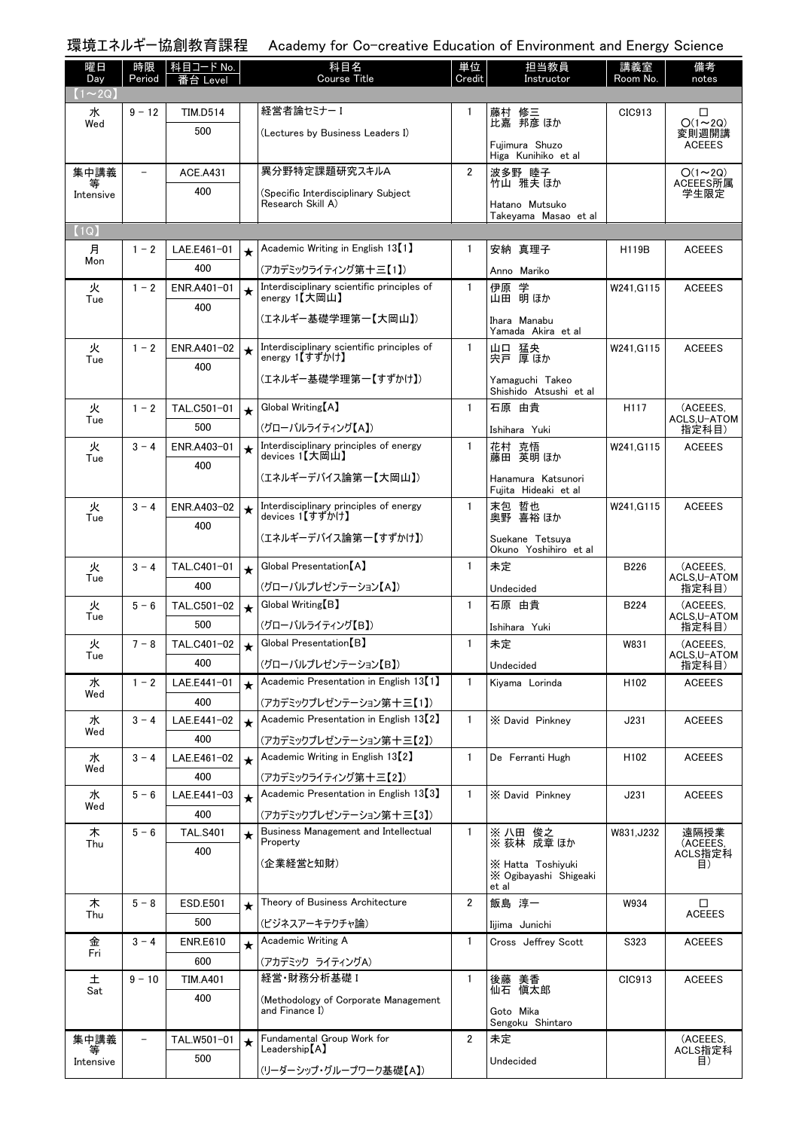環境エネルギー協創教育課程 Academy for Co-creative Education of Environment and Energy Science

| <b>Course Title</b><br>Day<br>Credit<br>Room No.<br>Period<br>Instructor<br>notes<br>全台 Level<br>$(1\sim 2Q)$<br>経営者論セミナー I<br>藤村 修三<br>水<br>$9 - 12$<br><b>TIM.D514</b><br>1<br>CIC913<br>□<br>比嘉 邦彦 ほか<br>$O(1\sim 2Q)$<br>Wed<br>500<br>(Lectures by Business Leaders I)<br>変則週開講<br>Fuiimura Shuzo<br><b>ACEEES</b><br>Higa Kunihiko et al<br>異分野特定課題研究スキルA<br>波多野 睦子<br>集中講義<br>$\mathbf{2}$<br>$O(1\sim 2Q)$<br><b>ACE.A431</b><br>$\overline{\phantom{0}}$<br>竹山 雅夫 ほか<br>ACEEES所属<br>等<br>400<br>(Specific Interdisciplinary Subject<br>学生限定<br>Intensive<br>Research Skill A)<br>Hatano Mutsuko<br>Takeyama Masao et al<br>(1Q)<br>Academic Writing in English 13 <sup>[1]</sup><br>月<br>$\mathbf{1}$<br>安納 真理子<br>$1 - 2$<br>LAE.E461-01<br>H119B<br><b>ACEEES</b><br>$\star$<br>Mon<br>400<br>(アカデミックライティング第十三【1】)<br>Anno Mariko<br>Interdisciplinary scientific principles of<br>$\mathbf{1}$<br>伊原 学<br>山田 明ほか<br>火<br>W241, G115<br><b>ACEEES</b><br>$1 - 2$<br>ENR.A401-01<br>$\star$<br>energy 1【大岡山】<br>Tue<br>400<br>(エネルギー基礎学理第一【大岡山】)<br>Ihara Manabu<br>Yamada Akira et al<br>Interdisciplinary scientific principles of<br>$\mathbf{1}$<br>火<br>$1 - 2$<br>山口 猛央<br>宍戸 厚ほか<br>ENR.A401-02<br>W241, G115<br><b>ACEEES</b><br>$\star$<br>energy 1【すずかけ】<br>Tue<br>400<br>(エネルギー基礎学理第一【すずかけ】)<br>Yamaguchi Takeo<br>Shishido Atsushi et al<br>Global Writing [A]<br>石原 由貴<br>火<br>TAL.C501-01<br>$\mathbf{1}$<br>H <sub>117</sub><br>(ACEEES.<br>$1 - 2$<br>$\star$<br>ACLS,U-ATOM<br>Tue<br>500<br>(グローバルライティング【A】)<br>指定科目)<br>Ishihara Yuki<br>Interdisciplinary principles of energy<br>$3 - 4$<br>1<br>花村 克悟<br>火<br>ENR.A403-01<br><b>ACEEES</b><br>W241, G115<br>$\star$<br>devices 1【大岡山】<br>藤田 英明 ほか<br>Tue<br>400<br>(エネルギーデバイス論第一【大岡山】)<br>Hanamura Katsunori<br>Fujita Hideaki et al<br>Interdisciplinary principles of energy<br>$\mathbf{1}$<br>火<br>ENR.A403-02<br>末包 哲也<br>奥野 喜裕ほか<br>W241.G115<br><b>ACEEES</b><br>$3 - 4$<br>$\star$<br>devices 1【すずかけ】<br>Tue<br>400<br>(エネルギーデバイス論第一【すずかけ】)<br>Suekane Tetsuya<br>Okuno Yoshihiro et al<br>Global Presentation [A]<br>未定<br>$\mathbf{1}$<br>B226<br>(ACEEES.<br>火<br>$3 - 4$<br>TAL.C401-01<br>$\star$<br>ACLS,U-ATOM<br>Tue<br>400<br>(グローバルプレゼンテーション【A】)<br>Undecided<br>指定科目)<br>Global Writing [B]<br>火<br>$\mathbf{1}$<br>石原 由貴<br>B224<br>(ACEEES.<br>$5 - 6$<br>TAL.C501-02<br>$\star$<br>ACLS,U-ATOM<br>Tue<br>500<br>(グローバルライティング【B】)<br>指定科目)<br>Ishihara Yuki<br>Global Presentation [B]<br>火<br>$7 - 8$<br>TAL.C401-02<br>$\mathbf{1}$<br>未定<br>W831<br>(ACEEES,<br>$\star$<br>ACLS.U-ATOM<br>Tue<br>400<br>(グローバルプレゼンテーション【B】)<br>指定科目)<br>Undecided<br>Academic Presentation in English 13 <sup>[1]</sup><br>$\mathbf{1}$<br>水<br>$1 - 2$<br>LAE.E441-01<br>Kiyama Lorinda<br>H <sub>102</sub><br><b>ACEEES</b><br>$\star$<br>Wed<br>400<br>(アカデミックプレゼンテーション第十三【1】)<br>Academic Presentation in English 13 <sup>[2]</sup><br>LAE.E441-02<br>$\mathbf{1}$<br>X David Pinkney<br>J231<br><b>ACEEES</b><br>水<br>$3 - 4$<br>$\star$<br>Wed<br>400<br>(アカデミックプレゼンテーション第十三【2】)<br>Academic Writing in English 13 <sup>[2]</sup><br>$\mathbf{1}$<br>水<br>De Ferranti Hugh<br><b>ACEEES</b><br>$3 - 4$<br>LAE.E461-02<br>H <sub>102</sub><br>$\star$<br>Wed<br>400<br>(アカデミックライティング第十三【2】)<br>Academic Presentation in English 13 [3]<br>水<br>$5 - 6$<br>$\mathbf{1}$<br>LAE.E441-03<br>X David Pinkney<br>J231<br><b>ACEEES</b><br>$\star$<br>Wed<br>400<br>(アカデミックプレゼンテーション第十三【3】)<br>Business Management and Intellectual<br>※ 八田 俊之<br>遠隔授業<br>$5 - 6$<br>1<br>W831.J232<br>木<br><b>TAL.S401</b><br>$\star$<br>Property<br>※ 荻林 成章 ほか<br>Thu<br>(ACEEES,<br>400<br>ACLS指定科<br>(企業経営と知財)<br>X Hatta Toshiyuki<br>目<br>X Ogibayashi Shigeaki |
|----------------------------------------------------------------------------------------------------------------------------------------------------------------------------------------------------------------------------------------------------------------------------------------------------------------------------------------------------------------------------------------------------------------------------------------------------------------------------------------------------------------------------------------------------------------------------------------------------------------------------------------------------------------------------------------------------------------------------------------------------------------------------------------------------------------------------------------------------------------------------------------------------------------------------------------------------------------------------------------------------------------------------------------------------------------------------------------------------------------------------------------------------------------------------------------------------------------------------------------------------------------------------------------------------------------------------------------------------------------------------------------------------------------------------------------------------------------------------------------------------------------------------------------------------------------------------------------------------------------------------------------------------------------------------------------------------------------------------------------------------------------------------------------------------------------------------------------------------------------------------------------------------------------------------------------------------------------------------------------------------------------------------------------------------------------------------------------------------------------------------------------------------------------------------------------------------------------------------------------------------------------------------------------------------------------------------------------------------------------------------------------------------------------------------------------------------------------------------------------------------------------------------------------------------------------------------------------------------------------------------------------------------------------------------------------------------------------------------------------------------------------------------------------------------------------------------------------------------------------------------------------------------------------------------------------------------------------------------------------------------------------------------------------------------------------------------------------------------------------------------------------------------------------------------------------------------------------------------------------------------------------------------------------------------------------------------------------------------------------------------------------------------------------------------------------------------------------------------------------------------------------------------------------------------------------------------------------------------------------------------------------------------------------------------------------------------------------------------------------------|
|                                                                                                                                                                                                                                                                                                                                                                                                                                                                                                                                                                                                                                                                                                                                                                                                                                                                                                                                                                                                                                                                                                                                                                                                                                                                                                                                                                                                                                                                                                                                                                                                                                                                                                                                                                                                                                                                                                                                                                                                                                                                                                                                                                                                                                                                                                                                                                                                                                                                                                                                                                                                                                                                                                                                                                                                                                                                                                                                                                                                                                                                                                                                                                                                                                                                                                                                                                                                                                                                                                                                                                                                                                                                                                                                              |
|                                                                                                                                                                                                                                                                                                                                                                                                                                                                                                                                                                                                                                                                                                                                                                                                                                                                                                                                                                                                                                                                                                                                                                                                                                                                                                                                                                                                                                                                                                                                                                                                                                                                                                                                                                                                                                                                                                                                                                                                                                                                                                                                                                                                                                                                                                                                                                                                                                                                                                                                                                                                                                                                                                                                                                                                                                                                                                                                                                                                                                                                                                                                                                                                                                                                                                                                                                                                                                                                                                                                                                                                                                                                                                                                              |
|                                                                                                                                                                                                                                                                                                                                                                                                                                                                                                                                                                                                                                                                                                                                                                                                                                                                                                                                                                                                                                                                                                                                                                                                                                                                                                                                                                                                                                                                                                                                                                                                                                                                                                                                                                                                                                                                                                                                                                                                                                                                                                                                                                                                                                                                                                                                                                                                                                                                                                                                                                                                                                                                                                                                                                                                                                                                                                                                                                                                                                                                                                                                                                                                                                                                                                                                                                                                                                                                                                                                                                                                                                                                                                                                              |
|                                                                                                                                                                                                                                                                                                                                                                                                                                                                                                                                                                                                                                                                                                                                                                                                                                                                                                                                                                                                                                                                                                                                                                                                                                                                                                                                                                                                                                                                                                                                                                                                                                                                                                                                                                                                                                                                                                                                                                                                                                                                                                                                                                                                                                                                                                                                                                                                                                                                                                                                                                                                                                                                                                                                                                                                                                                                                                                                                                                                                                                                                                                                                                                                                                                                                                                                                                                                                                                                                                                                                                                                                                                                                                                                              |
|                                                                                                                                                                                                                                                                                                                                                                                                                                                                                                                                                                                                                                                                                                                                                                                                                                                                                                                                                                                                                                                                                                                                                                                                                                                                                                                                                                                                                                                                                                                                                                                                                                                                                                                                                                                                                                                                                                                                                                                                                                                                                                                                                                                                                                                                                                                                                                                                                                                                                                                                                                                                                                                                                                                                                                                                                                                                                                                                                                                                                                                                                                                                                                                                                                                                                                                                                                                                                                                                                                                                                                                                                                                                                                                                              |
|                                                                                                                                                                                                                                                                                                                                                                                                                                                                                                                                                                                                                                                                                                                                                                                                                                                                                                                                                                                                                                                                                                                                                                                                                                                                                                                                                                                                                                                                                                                                                                                                                                                                                                                                                                                                                                                                                                                                                                                                                                                                                                                                                                                                                                                                                                                                                                                                                                                                                                                                                                                                                                                                                                                                                                                                                                                                                                                                                                                                                                                                                                                                                                                                                                                                                                                                                                                                                                                                                                                                                                                                                                                                                                                                              |
|                                                                                                                                                                                                                                                                                                                                                                                                                                                                                                                                                                                                                                                                                                                                                                                                                                                                                                                                                                                                                                                                                                                                                                                                                                                                                                                                                                                                                                                                                                                                                                                                                                                                                                                                                                                                                                                                                                                                                                                                                                                                                                                                                                                                                                                                                                                                                                                                                                                                                                                                                                                                                                                                                                                                                                                                                                                                                                                                                                                                                                                                                                                                                                                                                                                                                                                                                                                                                                                                                                                                                                                                                                                                                                                                              |
|                                                                                                                                                                                                                                                                                                                                                                                                                                                                                                                                                                                                                                                                                                                                                                                                                                                                                                                                                                                                                                                                                                                                                                                                                                                                                                                                                                                                                                                                                                                                                                                                                                                                                                                                                                                                                                                                                                                                                                                                                                                                                                                                                                                                                                                                                                                                                                                                                                                                                                                                                                                                                                                                                                                                                                                                                                                                                                                                                                                                                                                                                                                                                                                                                                                                                                                                                                                                                                                                                                                                                                                                                                                                                                                                              |
|                                                                                                                                                                                                                                                                                                                                                                                                                                                                                                                                                                                                                                                                                                                                                                                                                                                                                                                                                                                                                                                                                                                                                                                                                                                                                                                                                                                                                                                                                                                                                                                                                                                                                                                                                                                                                                                                                                                                                                                                                                                                                                                                                                                                                                                                                                                                                                                                                                                                                                                                                                                                                                                                                                                                                                                                                                                                                                                                                                                                                                                                                                                                                                                                                                                                                                                                                                                                                                                                                                                                                                                                                                                                                                                                              |
|                                                                                                                                                                                                                                                                                                                                                                                                                                                                                                                                                                                                                                                                                                                                                                                                                                                                                                                                                                                                                                                                                                                                                                                                                                                                                                                                                                                                                                                                                                                                                                                                                                                                                                                                                                                                                                                                                                                                                                                                                                                                                                                                                                                                                                                                                                                                                                                                                                                                                                                                                                                                                                                                                                                                                                                                                                                                                                                                                                                                                                                                                                                                                                                                                                                                                                                                                                                                                                                                                                                                                                                                                                                                                                                                              |
|                                                                                                                                                                                                                                                                                                                                                                                                                                                                                                                                                                                                                                                                                                                                                                                                                                                                                                                                                                                                                                                                                                                                                                                                                                                                                                                                                                                                                                                                                                                                                                                                                                                                                                                                                                                                                                                                                                                                                                                                                                                                                                                                                                                                                                                                                                                                                                                                                                                                                                                                                                                                                                                                                                                                                                                                                                                                                                                                                                                                                                                                                                                                                                                                                                                                                                                                                                                                                                                                                                                                                                                                                                                                                                                                              |
|                                                                                                                                                                                                                                                                                                                                                                                                                                                                                                                                                                                                                                                                                                                                                                                                                                                                                                                                                                                                                                                                                                                                                                                                                                                                                                                                                                                                                                                                                                                                                                                                                                                                                                                                                                                                                                                                                                                                                                                                                                                                                                                                                                                                                                                                                                                                                                                                                                                                                                                                                                                                                                                                                                                                                                                                                                                                                                                                                                                                                                                                                                                                                                                                                                                                                                                                                                                                                                                                                                                                                                                                                                                                                                                                              |
|                                                                                                                                                                                                                                                                                                                                                                                                                                                                                                                                                                                                                                                                                                                                                                                                                                                                                                                                                                                                                                                                                                                                                                                                                                                                                                                                                                                                                                                                                                                                                                                                                                                                                                                                                                                                                                                                                                                                                                                                                                                                                                                                                                                                                                                                                                                                                                                                                                                                                                                                                                                                                                                                                                                                                                                                                                                                                                                                                                                                                                                                                                                                                                                                                                                                                                                                                                                                                                                                                                                                                                                                                                                                                                                                              |
|                                                                                                                                                                                                                                                                                                                                                                                                                                                                                                                                                                                                                                                                                                                                                                                                                                                                                                                                                                                                                                                                                                                                                                                                                                                                                                                                                                                                                                                                                                                                                                                                                                                                                                                                                                                                                                                                                                                                                                                                                                                                                                                                                                                                                                                                                                                                                                                                                                                                                                                                                                                                                                                                                                                                                                                                                                                                                                                                                                                                                                                                                                                                                                                                                                                                                                                                                                                                                                                                                                                                                                                                                                                                                                                                              |
|                                                                                                                                                                                                                                                                                                                                                                                                                                                                                                                                                                                                                                                                                                                                                                                                                                                                                                                                                                                                                                                                                                                                                                                                                                                                                                                                                                                                                                                                                                                                                                                                                                                                                                                                                                                                                                                                                                                                                                                                                                                                                                                                                                                                                                                                                                                                                                                                                                                                                                                                                                                                                                                                                                                                                                                                                                                                                                                                                                                                                                                                                                                                                                                                                                                                                                                                                                                                                                                                                                                                                                                                                                                                                                                                              |
|                                                                                                                                                                                                                                                                                                                                                                                                                                                                                                                                                                                                                                                                                                                                                                                                                                                                                                                                                                                                                                                                                                                                                                                                                                                                                                                                                                                                                                                                                                                                                                                                                                                                                                                                                                                                                                                                                                                                                                                                                                                                                                                                                                                                                                                                                                                                                                                                                                                                                                                                                                                                                                                                                                                                                                                                                                                                                                                                                                                                                                                                                                                                                                                                                                                                                                                                                                                                                                                                                                                                                                                                                                                                                                                                              |
|                                                                                                                                                                                                                                                                                                                                                                                                                                                                                                                                                                                                                                                                                                                                                                                                                                                                                                                                                                                                                                                                                                                                                                                                                                                                                                                                                                                                                                                                                                                                                                                                                                                                                                                                                                                                                                                                                                                                                                                                                                                                                                                                                                                                                                                                                                                                                                                                                                                                                                                                                                                                                                                                                                                                                                                                                                                                                                                                                                                                                                                                                                                                                                                                                                                                                                                                                                                                                                                                                                                                                                                                                                                                                                                                              |
|                                                                                                                                                                                                                                                                                                                                                                                                                                                                                                                                                                                                                                                                                                                                                                                                                                                                                                                                                                                                                                                                                                                                                                                                                                                                                                                                                                                                                                                                                                                                                                                                                                                                                                                                                                                                                                                                                                                                                                                                                                                                                                                                                                                                                                                                                                                                                                                                                                                                                                                                                                                                                                                                                                                                                                                                                                                                                                                                                                                                                                                                                                                                                                                                                                                                                                                                                                                                                                                                                                                                                                                                                                                                                                                                              |
|                                                                                                                                                                                                                                                                                                                                                                                                                                                                                                                                                                                                                                                                                                                                                                                                                                                                                                                                                                                                                                                                                                                                                                                                                                                                                                                                                                                                                                                                                                                                                                                                                                                                                                                                                                                                                                                                                                                                                                                                                                                                                                                                                                                                                                                                                                                                                                                                                                                                                                                                                                                                                                                                                                                                                                                                                                                                                                                                                                                                                                                                                                                                                                                                                                                                                                                                                                                                                                                                                                                                                                                                                                                                                                                                              |
|                                                                                                                                                                                                                                                                                                                                                                                                                                                                                                                                                                                                                                                                                                                                                                                                                                                                                                                                                                                                                                                                                                                                                                                                                                                                                                                                                                                                                                                                                                                                                                                                                                                                                                                                                                                                                                                                                                                                                                                                                                                                                                                                                                                                                                                                                                                                                                                                                                                                                                                                                                                                                                                                                                                                                                                                                                                                                                                                                                                                                                                                                                                                                                                                                                                                                                                                                                                                                                                                                                                                                                                                                                                                                                                                              |
|                                                                                                                                                                                                                                                                                                                                                                                                                                                                                                                                                                                                                                                                                                                                                                                                                                                                                                                                                                                                                                                                                                                                                                                                                                                                                                                                                                                                                                                                                                                                                                                                                                                                                                                                                                                                                                                                                                                                                                                                                                                                                                                                                                                                                                                                                                                                                                                                                                                                                                                                                                                                                                                                                                                                                                                                                                                                                                                                                                                                                                                                                                                                                                                                                                                                                                                                                                                                                                                                                                                                                                                                                                                                                                                                              |
|                                                                                                                                                                                                                                                                                                                                                                                                                                                                                                                                                                                                                                                                                                                                                                                                                                                                                                                                                                                                                                                                                                                                                                                                                                                                                                                                                                                                                                                                                                                                                                                                                                                                                                                                                                                                                                                                                                                                                                                                                                                                                                                                                                                                                                                                                                                                                                                                                                                                                                                                                                                                                                                                                                                                                                                                                                                                                                                                                                                                                                                                                                                                                                                                                                                                                                                                                                                                                                                                                                                                                                                                                                                                                                                                              |
|                                                                                                                                                                                                                                                                                                                                                                                                                                                                                                                                                                                                                                                                                                                                                                                                                                                                                                                                                                                                                                                                                                                                                                                                                                                                                                                                                                                                                                                                                                                                                                                                                                                                                                                                                                                                                                                                                                                                                                                                                                                                                                                                                                                                                                                                                                                                                                                                                                                                                                                                                                                                                                                                                                                                                                                                                                                                                                                                                                                                                                                                                                                                                                                                                                                                                                                                                                                                                                                                                                                                                                                                                                                                                                                                              |
|                                                                                                                                                                                                                                                                                                                                                                                                                                                                                                                                                                                                                                                                                                                                                                                                                                                                                                                                                                                                                                                                                                                                                                                                                                                                                                                                                                                                                                                                                                                                                                                                                                                                                                                                                                                                                                                                                                                                                                                                                                                                                                                                                                                                                                                                                                                                                                                                                                                                                                                                                                                                                                                                                                                                                                                                                                                                                                                                                                                                                                                                                                                                                                                                                                                                                                                                                                                                                                                                                                                                                                                                                                                                                                                                              |
|                                                                                                                                                                                                                                                                                                                                                                                                                                                                                                                                                                                                                                                                                                                                                                                                                                                                                                                                                                                                                                                                                                                                                                                                                                                                                                                                                                                                                                                                                                                                                                                                                                                                                                                                                                                                                                                                                                                                                                                                                                                                                                                                                                                                                                                                                                                                                                                                                                                                                                                                                                                                                                                                                                                                                                                                                                                                                                                                                                                                                                                                                                                                                                                                                                                                                                                                                                                                                                                                                                                                                                                                                                                                                                                                              |
|                                                                                                                                                                                                                                                                                                                                                                                                                                                                                                                                                                                                                                                                                                                                                                                                                                                                                                                                                                                                                                                                                                                                                                                                                                                                                                                                                                                                                                                                                                                                                                                                                                                                                                                                                                                                                                                                                                                                                                                                                                                                                                                                                                                                                                                                                                                                                                                                                                                                                                                                                                                                                                                                                                                                                                                                                                                                                                                                                                                                                                                                                                                                                                                                                                                                                                                                                                                                                                                                                                                                                                                                                                                                                                                                              |
|                                                                                                                                                                                                                                                                                                                                                                                                                                                                                                                                                                                                                                                                                                                                                                                                                                                                                                                                                                                                                                                                                                                                                                                                                                                                                                                                                                                                                                                                                                                                                                                                                                                                                                                                                                                                                                                                                                                                                                                                                                                                                                                                                                                                                                                                                                                                                                                                                                                                                                                                                                                                                                                                                                                                                                                                                                                                                                                                                                                                                                                                                                                                                                                                                                                                                                                                                                                                                                                                                                                                                                                                                                                                                                                                              |
|                                                                                                                                                                                                                                                                                                                                                                                                                                                                                                                                                                                                                                                                                                                                                                                                                                                                                                                                                                                                                                                                                                                                                                                                                                                                                                                                                                                                                                                                                                                                                                                                                                                                                                                                                                                                                                                                                                                                                                                                                                                                                                                                                                                                                                                                                                                                                                                                                                                                                                                                                                                                                                                                                                                                                                                                                                                                                                                                                                                                                                                                                                                                                                                                                                                                                                                                                                                                                                                                                                                                                                                                                                                                                                                                              |
|                                                                                                                                                                                                                                                                                                                                                                                                                                                                                                                                                                                                                                                                                                                                                                                                                                                                                                                                                                                                                                                                                                                                                                                                                                                                                                                                                                                                                                                                                                                                                                                                                                                                                                                                                                                                                                                                                                                                                                                                                                                                                                                                                                                                                                                                                                                                                                                                                                                                                                                                                                                                                                                                                                                                                                                                                                                                                                                                                                                                                                                                                                                                                                                                                                                                                                                                                                                                                                                                                                                                                                                                                                                                                                                                              |
|                                                                                                                                                                                                                                                                                                                                                                                                                                                                                                                                                                                                                                                                                                                                                                                                                                                                                                                                                                                                                                                                                                                                                                                                                                                                                                                                                                                                                                                                                                                                                                                                                                                                                                                                                                                                                                                                                                                                                                                                                                                                                                                                                                                                                                                                                                                                                                                                                                                                                                                                                                                                                                                                                                                                                                                                                                                                                                                                                                                                                                                                                                                                                                                                                                                                                                                                                                                                                                                                                                                                                                                                                                                                                                                                              |
|                                                                                                                                                                                                                                                                                                                                                                                                                                                                                                                                                                                                                                                                                                                                                                                                                                                                                                                                                                                                                                                                                                                                                                                                                                                                                                                                                                                                                                                                                                                                                                                                                                                                                                                                                                                                                                                                                                                                                                                                                                                                                                                                                                                                                                                                                                                                                                                                                                                                                                                                                                                                                                                                                                                                                                                                                                                                                                                                                                                                                                                                                                                                                                                                                                                                                                                                                                                                                                                                                                                                                                                                                                                                                                                                              |
|                                                                                                                                                                                                                                                                                                                                                                                                                                                                                                                                                                                                                                                                                                                                                                                                                                                                                                                                                                                                                                                                                                                                                                                                                                                                                                                                                                                                                                                                                                                                                                                                                                                                                                                                                                                                                                                                                                                                                                                                                                                                                                                                                                                                                                                                                                                                                                                                                                                                                                                                                                                                                                                                                                                                                                                                                                                                                                                                                                                                                                                                                                                                                                                                                                                                                                                                                                                                                                                                                                                                                                                                                                                                                                                                              |
|                                                                                                                                                                                                                                                                                                                                                                                                                                                                                                                                                                                                                                                                                                                                                                                                                                                                                                                                                                                                                                                                                                                                                                                                                                                                                                                                                                                                                                                                                                                                                                                                                                                                                                                                                                                                                                                                                                                                                                                                                                                                                                                                                                                                                                                                                                                                                                                                                                                                                                                                                                                                                                                                                                                                                                                                                                                                                                                                                                                                                                                                                                                                                                                                                                                                                                                                                                                                                                                                                                                                                                                                                                                                                                                                              |
|                                                                                                                                                                                                                                                                                                                                                                                                                                                                                                                                                                                                                                                                                                                                                                                                                                                                                                                                                                                                                                                                                                                                                                                                                                                                                                                                                                                                                                                                                                                                                                                                                                                                                                                                                                                                                                                                                                                                                                                                                                                                                                                                                                                                                                                                                                                                                                                                                                                                                                                                                                                                                                                                                                                                                                                                                                                                                                                                                                                                                                                                                                                                                                                                                                                                                                                                                                                                                                                                                                                                                                                                                                                                                                                                              |
|                                                                                                                                                                                                                                                                                                                                                                                                                                                                                                                                                                                                                                                                                                                                                                                                                                                                                                                                                                                                                                                                                                                                                                                                                                                                                                                                                                                                                                                                                                                                                                                                                                                                                                                                                                                                                                                                                                                                                                                                                                                                                                                                                                                                                                                                                                                                                                                                                                                                                                                                                                                                                                                                                                                                                                                                                                                                                                                                                                                                                                                                                                                                                                                                                                                                                                                                                                                                                                                                                                                                                                                                                                                                                                                                              |
|                                                                                                                                                                                                                                                                                                                                                                                                                                                                                                                                                                                                                                                                                                                                                                                                                                                                                                                                                                                                                                                                                                                                                                                                                                                                                                                                                                                                                                                                                                                                                                                                                                                                                                                                                                                                                                                                                                                                                                                                                                                                                                                                                                                                                                                                                                                                                                                                                                                                                                                                                                                                                                                                                                                                                                                                                                                                                                                                                                                                                                                                                                                                                                                                                                                                                                                                                                                                                                                                                                                                                                                                                                                                                                                                              |
|                                                                                                                                                                                                                                                                                                                                                                                                                                                                                                                                                                                                                                                                                                                                                                                                                                                                                                                                                                                                                                                                                                                                                                                                                                                                                                                                                                                                                                                                                                                                                                                                                                                                                                                                                                                                                                                                                                                                                                                                                                                                                                                                                                                                                                                                                                                                                                                                                                                                                                                                                                                                                                                                                                                                                                                                                                                                                                                                                                                                                                                                                                                                                                                                                                                                                                                                                                                                                                                                                                                                                                                                                                                                                                                                              |
|                                                                                                                                                                                                                                                                                                                                                                                                                                                                                                                                                                                                                                                                                                                                                                                                                                                                                                                                                                                                                                                                                                                                                                                                                                                                                                                                                                                                                                                                                                                                                                                                                                                                                                                                                                                                                                                                                                                                                                                                                                                                                                                                                                                                                                                                                                                                                                                                                                                                                                                                                                                                                                                                                                                                                                                                                                                                                                                                                                                                                                                                                                                                                                                                                                                                                                                                                                                                                                                                                                                                                                                                                                                                                                                                              |
|                                                                                                                                                                                                                                                                                                                                                                                                                                                                                                                                                                                                                                                                                                                                                                                                                                                                                                                                                                                                                                                                                                                                                                                                                                                                                                                                                                                                                                                                                                                                                                                                                                                                                                                                                                                                                                                                                                                                                                                                                                                                                                                                                                                                                                                                                                                                                                                                                                                                                                                                                                                                                                                                                                                                                                                                                                                                                                                                                                                                                                                                                                                                                                                                                                                                                                                                                                                                                                                                                                                                                                                                                                                                                                                                              |
|                                                                                                                                                                                                                                                                                                                                                                                                                                                                                                                                                                                                                                                                                                                                                                                                                                                                                                                                                                                                                                                                                                                                                                                                                                                                                                                                                                                                                                                                                                                                                                                                                                                                                                                                                                                                                                                                                                                                                                                                                                                                                                                                                                                                                                                                                                                                                                                                                                                                                                                                                                                                                                                                                                                                                                                                                                                                                                                                                                                                                                                                                                                                                                                                                                                                                                                                                                                                                                                                                                                                                                                                                                                                                                                                              |
| et al                                                                                                                                                                                                                                                                                                                                                                                                                                                                                                                                                                                                                                                                                                                                                                                                                                                                                                                                                                                                                                                                                                                                                                                                                                                                                                                                                                                                                                                                                                                                                                                                                                                                                                                                                                                                                                                                                                                                                                                                                                                                                                                                                                                                                                                                                                                                                                                                                                                                                                                                                                                                                                                                                                                                                                                                                                                                                                                                                                                                                                                                                                                                                                                                                                                                                                                                                                                                                                                                                                                                                                                                                                                                                                                                        |
| Theory of Business Architecture<br>$\overline{2}$<br>飯島 淳一<br><b>ESD.E501</b><br>W934<br>木<br>$5 - 8$<br>□<br>$\star$                                                                                                                                                                                                                                                                                                                                                                                                                                                                                                                                                                                                                                                                                                                                                                                                                                                                                                                                                                                                                                                                                                                                                                                                                                                                                                                                                                                                                                                                                                                                                                                                                                                                                                                                                                                                                                                                                                                                                                                                                                                                                                                                                                                                                                                                                                                                                                                                                                                                                                                                                                                                                                                                                                                                                                                                                                                                                                                                                                                                                                                                                                                                                                                                                                                                                                                                                                                                                                                                                                                                                                                                                        |
| <b>ACEEES</b><br>Thu<br>500<br>(ビジネスアーキテクチャ論)<br>Iijima Junichi                                                                                                                                                                                                                                                                                                                                                                                                                                                                                                                                                                                                                                                                                                                                                                                                                                                                                                                                                                                                                                                                                                                                                                                                                                                                                                                                                                                                                                                                                                                                                                                                                                                                                                                                                                                                                                                                                                                                                                                                                                                                                                                                                                                                                                                                                                                                                                                                                                                                                                                                                                                                                                                                                                                                                                                                                                                                                                                                                                                                                                                                                                                                                                                                                                                                                                                                                                                                                                                                                                                                                                                                                                                                              |
| Academic Writing A<br>金<br>$3 - 4$<br>$\mathbf{1}$<br>Cross Jeffrey Scott<br>S323<br><b>ENR.E610</b><br><b>ACEEES</b><br>$\star$                                                                                                                                                                                                                                                                                                                                                                                                                                                                                                                                                                                                                                                                                                                                                                                                                                                                                                                                                                                                                                                                                                                                                                                                                                                                                                                                                                                                                                                                                                                                                                                                                                                                                                                                                                                                                                                                                                                                                                                                                                                                                                                                                                                                                                                                                                                                                                                                                                                                                                                                                                                                                                                                                                                                                                                                                                                                                                                                                                                                                                                                                                                                                                                                                                                                                                                                                                                                                                                                                                                                                                                                             |
| Fri                                                                                                                                                                                                                                                                                                                                                                                                                                                                                                                                                                                                                                                                                                                                                                                                                                                                                                                                                                                                                                                                                                                                                                                                                                                                                                                                                                                                                                                                                                                                                                                                                                                                                                                                                                                                                                                                                                                                                                                                                                                                                                                                                                                                                                                                                                                                                                                                                                                                                                                                                                                                                                                                                                                                                                                                                                                                                                                                                                                                                                                                                                                                                                                                                                                                                                                                                                                                                                                                                                                                                                                                                                                                                                                                          |
| 600<br>(アカデミック ライティングA)                                                                                                                                                                                                                                                                                                                                                                                                                                                                                                                                                                                                                                                                                                                                                                                                                                                                                                                                                                                                                                                                                                                                                                                                                                                                                                                                                                                                                                                                                                                                                                                                                                                                                                                                                                                                                                                                                                                                                                                                                                                                                                                                                                                                                                                                                                                                                                                                                                                                                                                                                                                                                                                                                                                                                                                                                                                                                                                                                                                                                                                                                                                                                                                                                                                                                                                                                                                                                                                                                                                                                                                                                                                                                                                      |
| 経営·財務分析基礎 I<br>後藤 美香<br><b>ACEEES</b><br>土<br>$9 - 10$<br><b>TIM.A401</b><br>$\mathbf{1}$<br>CIC913                                                                                                                                                                                                                                                                                                                                                                                                                                                                                                                                                                                                                                                                                                                                                                                                                                                                                                                                                                                                                                                                                                                                                                                                                                                                                                                                                                                                                                                                                                                                                                                                                                                                                                                                                                                                                                                                                                                                                                                                                                                                                                                                                                                                                                                                                                                                                                                                                                                                                                                                                                                                                                                                                                                                                                                                                                                                                                                                                                                                                                                                                                                                                                                                                                                                                                                                                                                                                                                                                                                                                                                                                                          |
| 仙石 愼太郎<br>Sat<br>400<br>(Methodology of Corporate Management                                                                                                                                                                                                                                                                                                                                                                                                                                                                                                                                                                                                                                                                                                                                                                                                                                                                                                                                                                                                                                                                                                                                                                                                                                                                                                                                                                                                                                                                                                                                                                                                                                                                                                                                                                                                                                                                                                                                                                                                                                                                                                                                                                                                                                                                                                                                                                                                                                                                                                                                                                                                                                                                                                                                                                                                                                                                                                                                                                                                                                                                                                                                                                                                                                                                                                                                                                                                                                                                                                                                                                                                                                                                                 |
| and Finance I)<br>Goto Mika<br>Sengoku Shintaro                                                                                                                                                                                                                                                                                                                                                                                                                                                                                                                                                                                                                                                                                                                                                                                                                                                                                                                                                                                                                                                                                                                                                                                                                                                                                                                                                                                                                                                                                                                                                                                                                                                                                                                                                                                                                                                                                                                                                                                                                                                                                                                                                                                                                                                                                                                                                                                                                                                                                                                                                                                                                                                                                                                                                                                                                                                                                                                                                                                                                                                                                                                                                                                                                                                                                                                                                                                                                                                                                                                                                                                                                                                                                              |
| Fundamental Group Work for<br>$\overline{2}$<br>集中講義<br>TAL.W501-01<br>(ACEEES,<br>未定<br>Leadership[A]<br>ACLS指定科                                                                                                                                                                                                                                                                                                                                                                                                                                                                                                                                                                                                                                                                                                                                                                                                                                                                                                                                                                                                                                                                                                                                                                                                                                                                                                                                                                                                                                                                                                                                                                                                                                                                                                                                                                                                                                                                                                                                                                                                                                                                                                                                                                                                                                                                                                                                                                                                                                                                                                                                                                                                                                                                                                                                                                                                                                                                                                                                                                                                                                                                                                                                                                                                                                                                                                                                                                                                                                                                                                                                                                                                                            |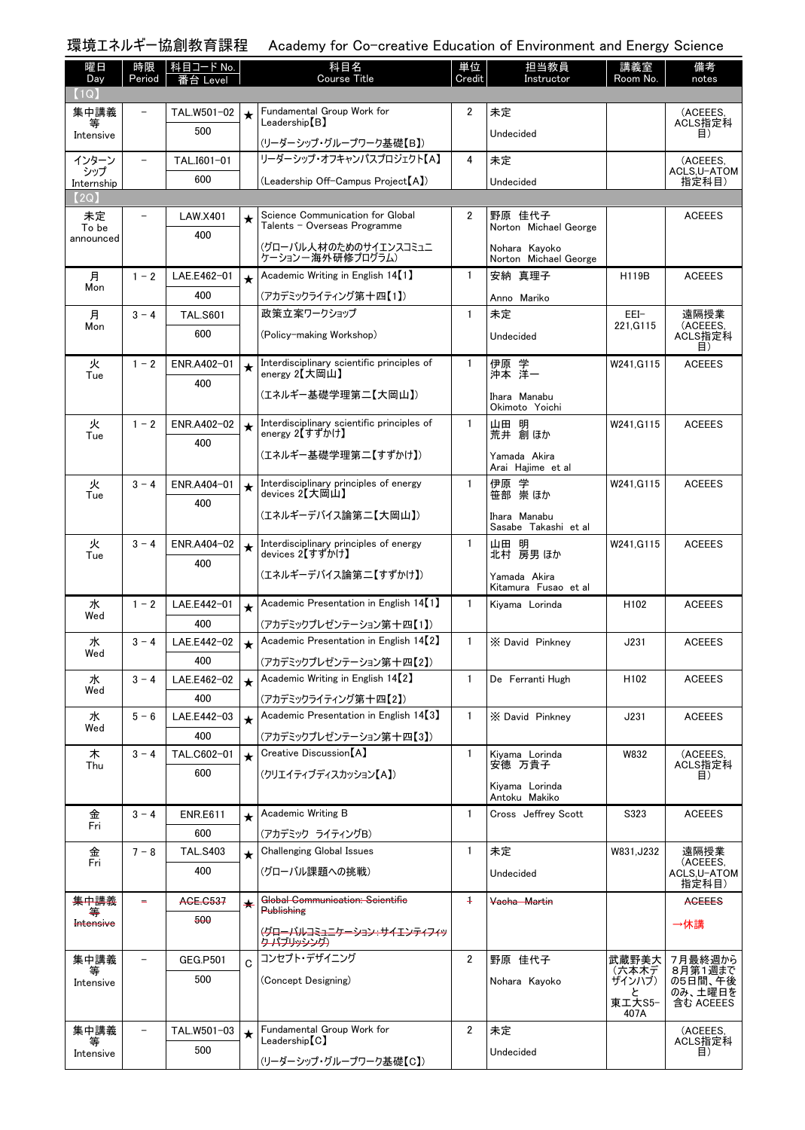|                |                          | 環境エネルギー協創教育課程      |            | Academy for Co-creative Education of Environment and Energy Science      |                |                                        |                     |                                   |
|----------------|--------------------------|--------------------|------------|--------------------------------------------------------------------------|----------------|----------------------------------------|---------------------|-----------------------------------|
| 曜日             | 時限                       | │科目コード No.         |            | 科目名<br><b>Course Title</b>                                               | 単位<br>Credit   | 担当教員                                   | 講義室<br>Room No.     | 備考                                |
| Day<br>(1Q)    | Period                   | 番台 Level           |            |                                                                          |                | Instructor                             |                     | notes                             |
| 集中講義           | $\overline{\phantom{0}}$ | TAL.W501-02        | $\star$    | Fundamental Group Work for                                               | 2              | 未定                                     |                     | (ACEEES,                          |
| 等<br>Intensive |                          | 500                |            | Leadership [B]                                                           |                | Undecided                              |                     | ACLS指定科<br>目)                     |
|                |                          |                    |            | (リーダーシップ・グループワーク基礎【B】)                                                   |                |                                        |                     |                                   |
| インターン<br>シップ   | $\overline{\phantom{0}}$ | TAL.I601-01        |            | リーダーシップ·オフキャンパスプロジェクト【A】                                                 | 4              | 未定                                     |                     | (ACEEES.<br>ACLS, U-ATOM          |
| Internship     |                          | 600                |            | (Leadership Off-Campus Project【A】)                                       |                | Undecided                              |                     | 指定科目)                             |
| 2Q)<br>未定      |                          | <b>LAW.X401</b>    |            | Science Communication for Global                                         | $\overline{2}$ | 野原 佳代子                                 |                     | <b>ACEEES</b>                     |
| To be          |                          | 400                | $\star$    | Talents - Overseas Programme                                             |                | Norton Michael George                  |                     |                                   |
| announced      |                          |                    |            | (グローバル人材のためのサイエンスコミュニ<br>ケーションー海外研修プログラム)                                |                | Nohara Kayoko<br>Norton Michael George |                     |                                   |
| 月              | $1 - 2$                  | LAE.E462-01        | $\star$    | Academic Writing in English 14 <sup>[1]</sup>                            | $\mathbf{1}$   | 安納 真理子                                 | H119B               | <b>ACEEES</b>                     |
| Mon            |                          | 400                |            | (アカデミックライティング第十四【1】)                                                     |                | Anno Mariko                            |                     |                                   |
| 月              | $3 - 4$                  | <b>TAL.S601</b>    |            | 政策立案ワークショップ                                                              | $\mathbf{1}$   | 未定                                     | EEI-                | 遠隔授業                              |
| Mon            |                          | 600                |            | (Policy-making Workshop)                                                 |                | Undecided                              | 221.G115            | (ACEEES,<br>ACLS指定科<br>目)         |
| 火<br>Tue       | $1 - 2$                  | ENR.A402-01        | $\star$    | Interdisciplinary scientific principles of<br>energy 2【大岡山】              | $\mathbf{1}$   | 伊原 学<br>沖本 洋一                          | W241.G115           | <b>ACEEES</b>                     |
|                |                          | 400                |            | (エネルギー基礎学理第二【大岡山】)                                                       |                | Ihara Manabu<br>Okimoto Yoichi         |                     |                                   |
| 火<br>Tue       | $1 - 2$                  | ENR.A402-02        | $\star$    | Interdisciplinary scientific principles of<br>energy 2【すずかけ】             | $\mathbf{1}$   | 山田 明<br>荒井 創ほか                         | W241.G115           | <b>ACEEES</b>                     |
|                |                          | 400                |            | (エネルギー基礎学理第二【すずかけ】)                                                      |                | Yamada Akira<br>Arai Hajime et al      |                     |                                   |
| 火<br>Tue       | $3 - 4$                  | ENR.A404-01        | $\star$    | Interdisciplinary principles of energy<br>devices 2【大岡山】                 | $\mathbf{1}$   | 伊原 学<br>笹部 崇ほか                         | W241.G115           | <b>ACEEES</b>                     |
|                |                          | 400                |            | (エネルギーデバイス論第二【大岡山】)                                                      |                | Ihara Manabu<br>Sasabe Takashi et al   |                     |                                   |
| 火              | $3 - 4$                  | ENR.A404-02        | $\star$    | Interdisciplinary principles of energy                                   | $\mathbf{1}$   | 山田 明                                   | W241, G115          | <b>ACEEES</b>                     |
| Tue            |                          | 400                |            | devices 2【すずかけ】<br>(エネルギーデバイス論第二【すずかけ】)                                  |                | 北村 房男 ほか<br>Yamada Akira               |                     |                                   |
|                |                          |                    |            |                                                                          |                | Kitamura Fusao et al                   |                     |                                   |
| 水<br>Wed       | $1 - 2$                  | LAE.E442-01        | $\star$    | Academic Presentation in English 14 <sup>[1]</sup>                       | $\mathbf{1}$   | Kivama Lorinda                         | H <sub>102</sub>    | <b>ACEEES</b>                     |
|                |                          | 400                |            | (アカデミックプレゼンテーション第十四【1】)                                                  |                |                                        |                     |                                   |
| 水<br>Wed       | $3 - 4$                  | LAE.E442-02        | $\star$    | Academic Presentation in English 14 <sup>[2]</sup>                       | $\mathbf{1}$   | X David Pinkney                        | J231                | <b>ACEEES</b>                     |
| 水              | $3 - 4$                  | 400<br>LAE.E462-02 |            | (アカデミックプレゼンテーション第十四【2】)<br>Academic Writing in English 14 <sup>[2]</sup> | $\mathbf{1}$   | De Ferranti Hugh                       | H <sub>102</sub>    | <b>ACEEES</b>                     |
| Wed            |                          | 400                | $\star$    |                                                                          |                |                                        |                     |                                   |
| 水              | $5 - 6$                  | LAE.E442-03        | $\star$    | (アカデミックライティング第十四【2】)<br>Academic Presentation in English 14 [3]          | $\mathbf{1}$   | X David Pinkney                        | J231                | <b>ACEEES</b>                     |
| Wed            |                          | 400                |            | (アカデミックプレゼンテーション第十四【3】)                                                  |                |                                        |                     |                                   |
| 木              | $3 - 4$                  | TAL.C602-01        | $\star$    | Creative Discussion [A]                                                  | $\mathbf{1}$   | Kiyama Lorinda                         | W832                | (ACEEES,                          |
| Thu            |                          | 600                |            | (クリエイティブディスカッション【A】)                                                     |                | 安德 万貴子                                 |                     | ACLS指定科<br>目)                     |
|                |                          |                    |            |                                                                          |                | Kiyama Lorinda<br>Antoku Makiko        |                     |                                   |
| 金              | $3 - 4$                  | <b>ENR.E611</b>    | $\star$    | Academic Writing B                                                       | $\mathbf{1}$   | Cross Jeffrey Scott                    | S323                | <b>ACEEES</b>                     |
| Fri            |                          | 600                |            | (アカデミック ライティングB)                                                         |                |                                        |                     |                                   |
| 金              | $7 - 8$                  | <b>TAL.S403</b>    | $\star$    | <b>Challenging Global Issues</b>                                         | $\mathbf{1}$   | 未定                                     | W831, J232          | 遠隔授業                              |
| Fri            |                          | 400                |            | (グローバル課題への挑戦)                                                            |                | Undecided                              |                     | (ACEEES,<br>ACLS, U-ATOM<br>指定科目) |
| 集中講義           |                          | AGE.C537           | $\bigstar$ | Global Communication: Scientifie                                         | $\ddot{}$      | <del>Vacha Martin</del>                |                     | <b>AGEEES</b>                     |
| ∓<br>Intensive |                          | 500                |            | Publishing                                                               |                |                                        |                     | →休講                               |
|                |                          |                    |            | <del>(グローバルコミュニケーション:サイエンティフィッ</del><br><del>クーパブリッシング)</del>            |                |                                        |                     |                                   |
| 集中講義           |                          | <b>GEG.P501</b>    | C          | コンセプト・デザイニング                                                             | $\overline{2}$ | 野原 佳代子                                 | 武蔵野美大               | 7月最終週から                           |
| 等<br>Intensive |                          | 500                |            | (Concept Designing)                                                      |                | Nohara Kayoko                          | (六本木デ<br>ザインハブ)     | 8月第1週まで<br>の5日間、午後                |
|                |                          |                    |            |                                                                          |                |                                        | と<br>東工大S5-<br>407A | のみ、土曜日を<br>含む ACEEES              |
| 集中講義           | $\overline{\phantom{0}}$ | TAL.W501-03        | $\star$    | Fundamental Group Work for                                               | $\overline{2}$ | 未定                                     |                     | (ACEEES,                          |
| 等<br>Intensive |                          | 500                |            | Leadership <sup>[C]</sup>                                                |                | Undecided                              |                     | ACLS指定科<br>目)                     |
|                |                          |                    |            | (リーダーシップ・グループワーク基礎【C】)                                                   |                |                                        |                     |                                   |